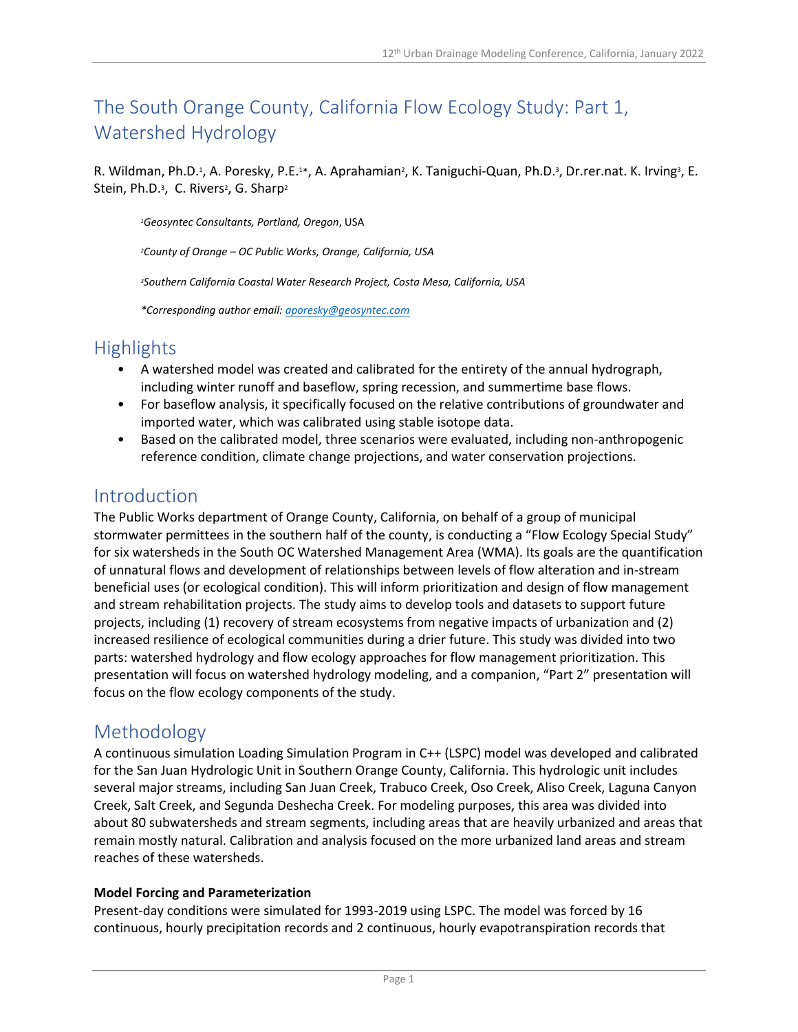# The South Orange County, California Flow Ecology Study: Part 1, Watershed Hydrology

R. Wildman, Ph.D.<sup>1</sup>, A. Poresky, P.E.<sup>1\*</sup>, A. Aprahamian<sup>2</sup>, K. Taniguchi-Quan, Ph.D.<sup>3</sup>, Dr.rer.nat. K. Irving<sup>3</sup>, E. Stein, Ph.D.<sup>3</sup>, C. Rivers<sup>2</sup>, G. Sharp<sup>2</sup>

*<sup>1</sup>Geosyntec Consultants, Portland, Oregon*, USA

*<sup>2</sup>County of Orange – OC Public Works, Orange, California, USA*

*<sup>3</sup>Southern California Coastal Water Research Project, Costa Mesa, California, USA*

*\*Corresponding author email: [aporesky@geosyntec.com](mailto:aporesky@geosyntec.com)*

# **Highlights**

- A watershed model was created and calibrated for the entirety of the annual hydrograph, including winter runoff and baseflow, spring recession, and summertime base flows.
- For baseflow analysis, it specifically focused on the relative contributions of groundwater and imported water, which was calibrated using stable isotope data.
- Based on the calibrated model, three scenarios were evaluated, including non-anthropogenic reference condition, climate change projections, and water conservation projections.

### Introduction

The Public Works department of Orange County, California, on behalf of a group of municipal stormwater permittees in the southern half of the county, is conducting a "Flow Ecology Special Study" for six watersheds in the South OC Watershed Management Area (WMA). Its goals are the quantification of unnatural flows and development of relationships between levels of flow alteration and in-stream beneficial uses (or ecological condition). This will inform prioritization and design of flow management and stream rehabilitation projects. The study aims to develop tools and datasets to support future projects, including (1) recovery of stream ecosystems from negative impacts of urbanization and (2) increased resilience of ecological communities during a drier future. This study was divided into two parts: watershed hydrology and flow ecology approaches for flow management prioritization. This presentation will focus on watershed hydrology modeling, and a companion, "Part 2" presentation will focus on the flow ecology components of the study.

### Methodology

A continuous simulation Loading Simulation Program in C++ (LSPC) model was developed and calibrated for the San Juan Hydrologic Unit in Southern Orange County, California. This hydrologic unit includes several major streams, including San Juan Creek, Trabuco Creek, Oso Creek, Aliso Creek, Laguna Canyon Creek, Salt Creek, and Segunda Deshecha Creek. For modeling purposes, this area was divided into about 80 subwatersheds and stream segments, including areas that are heavily urbanized and areas that remain mostly natural. Calibration and analysis focused on the more urbanized land areas and stream reaches of these watersheds.

#### **Model Forcing and Parameterization**

Present-day conditions were simulated for 1993-2019 using LSPC. The model was forced by 16 continuous, hourly precipitation records and 2 continuous, hourly evapotranspiration records that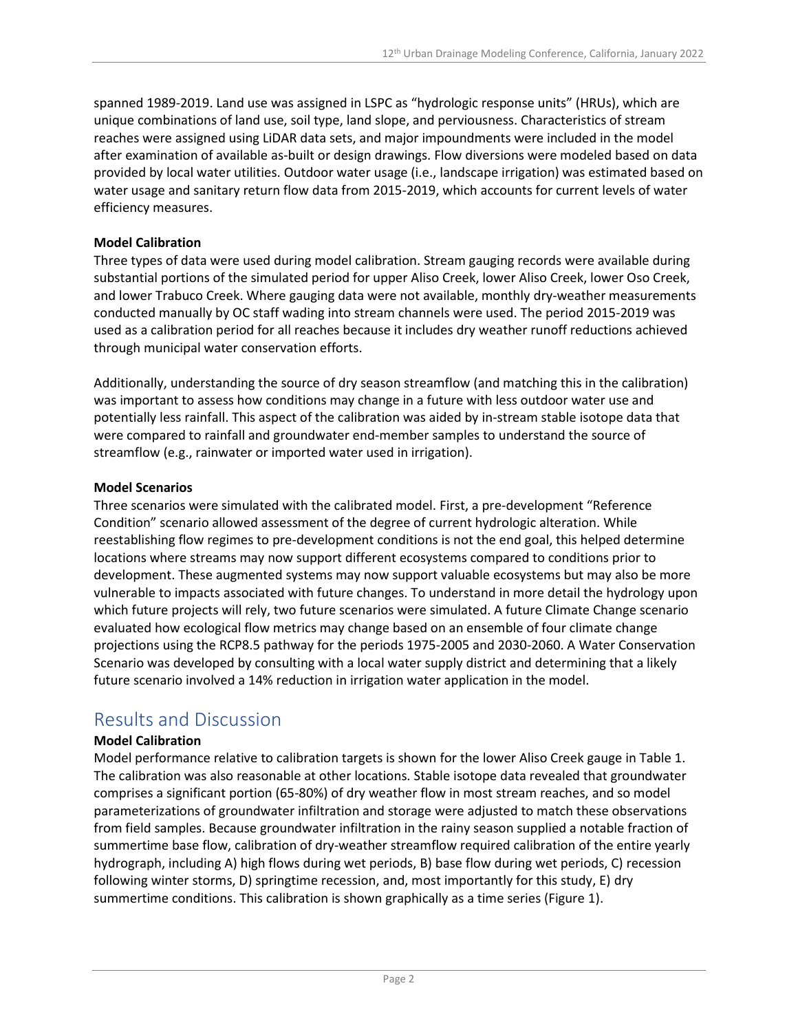spanned 1989-2019. Land use was assigned in LSPC as "hydrologic response units" (HRUs), which are unique combinations of land use, soil type, land slope, and perviousness. Characteristics of stream reaches were assigned using LiDAR data sets, and major impoundments were included in the model after examination of available as-built or design drawings. Flow diversions were modeled based on data provided by local water utilities. Outdoor water usage (i.e., landscape irrigation) was estimated based on water usage and sanitary return flow data from 2015-2019, which accounts for current levels of water efficiency measures.

#### **Model Calibration**

Three types of data were used during model calibration. Stream gauging records were available during substantial portions of the simulated period for upper Aliso Creek, lower Aliso Creek, lower Oso Creek, and lower Trabuco Creek. Where gauging data were not available, monthly dry-weather measurements conducted manually by OC staff wading into stream channels were used. The period 2015-2019 was used as a calibration period for all reaches because it includes dry weather runoff reductions achieved through municipal water conservation efforts.

Additionally, understanding the source of dry season streamflow (and matching this in the calibration) was important to assess how conditions may change in a future with less outdoor water use and potentially less rainfall. This aspect of the calibration was aided by in-stream stable isotope data that were compared to rainfall and groundwater end-member samples to understand the source of streamflow (e.g., rainwater or imported water used in irrigation).

#### **Model Scenarios**

Three scenarios were simulated with the calibrated model. First, a pre-development "Reference Condition" scenario allowed assessment of the degree of current hydrologic alteration. While reestablishing flow regimes to pre-development conditions is not the end goal, this helped determine locations where streams may now support different ecosystems compared to conditions prior to development. These augmented systems may now support valuable ecosystems but may also be more vulnerable to impacts associated with future changes. To understand in more detail the hydrology upon which future projects will rely, two future scenarios were simulated. A future Climate Change scenario evaluated how ecological flow metrics may change based on an ensemble of four climate change projections using the RCP8.5 pathway for the periods 1975-2005 and 2030-2060. A Water Conservation Scenario was developed by consulting with a local water supply district and determining that a likely future scenario involved a 14% reduction in irrigation water application in the model.

## Results and Discussion

#### **Model Calibration**

Model performance relative to calibration targets is shown for the lower Aliso Creek gauge in Table 1. The calibration was also reasonable at other locations. Stable isotope data revealed that groundwater comprises a significant portion (65-80%) of dry weather flow in most stream reaches, and so model parameterizations of groundwater infiltration and storage were adjusted to match these observations from field samples. Because groundwater infiltration in the rainy season supplied a notable fraction of summertime base flow, calibration of dry-weather streamflow required calibration of the entire yearly hydrograph, including A) high flows during wet periods, B) base flow during wet periods, C) recession following winter storms, D) springtime recession, and, most importantly for this study, E) dry summertime conditions. This calibration is shown graphically as a time series (Figure 1).